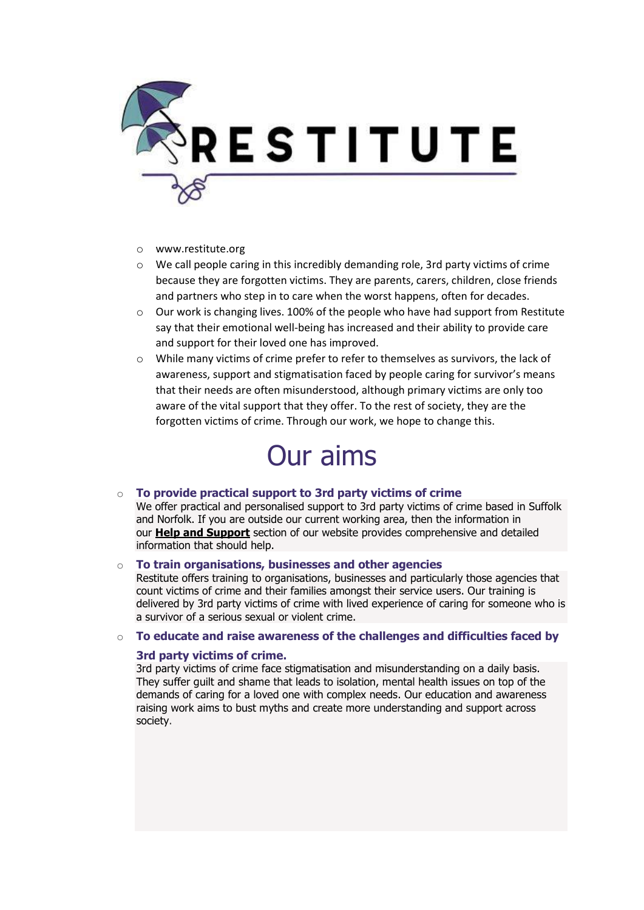

- o www.restitute.org
- o We call people caring in this incredibly demanding role, 3rd party victims of crime because they are forgotten victims. They are parents, carers, children, close friends and partners who step in to care when the worst happens, often for decades.
- $\circ$  Our work is changing lives. 100% of the people who have had support from Restitute say that their emotional well-being has increased and their ability to provide care and support for their loved one has improved.
- o While many victims of crime prefer to refer to themselves as survivors, the lack of awareness, support and stigmatisation faced by people caring for survivor's means that their needs are often misunderstood, although primary victims are only too aware of the vital support that they offer. To the rest of society, they are the forgotten victims of crime. Through our work, we hope to change this.

# Our aims

## o **[To provide practical support to 3rd party victims of crime](https://restitute.org/get-help-now/)**

We offer practical and personalised support to 3rd party victims of crime based in Suffolk and Norfolk. If you are outside our current working area, then the information in our **[Help and Support](https://restitute.org/get-help-now/)** section of our website provides comprehensive and detailed information that should help.

### o **[To train organisations, businesses and other agencies](https://restitute.org/training/)**

[Restitute offers training](https://restitute.org/training/) to organisations, businesses and particularly those agencies that count victims of crime and their families amongst their service users. Our training is delivered by 3rd party victims of crime with lived experience of caring for someone who is a survivor of a serious sexual or violent crime.

#### o **[To educate and raise awareness of the challenges and difficulties faced by](https://restitute.org/page-2/)**

#### **[3rd party victims of crime.](https://restitute.org/page-2/)**

3rd party victims of crime face stigmatisation and misunderstanding on a daily basis. They suffer guilt and shame that leads to isolation, mental health issues on top of the demands of caring for a loved one with complex needs. Our education and awareness raising work aims to bust myths and create more understanding and support across society.